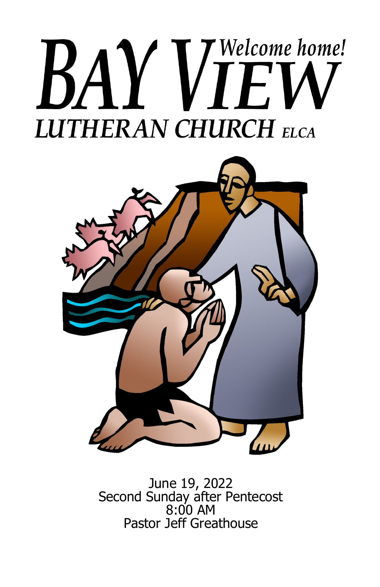# Welcome home! BA E **LUTHERAN CHURCH ELCA**



June 19, 2022 Second Sunday after Pentecost 8:00 AM Pastor Jeff Greathouse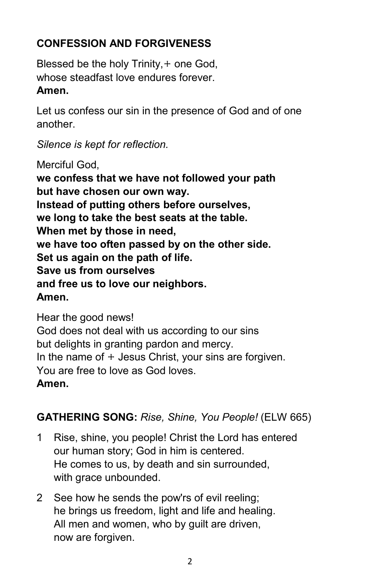# **CONFESSION AND FORGIVENESS**

Blessed be the holy Trinity, + one God, whose steadfast love endures forever. **Amen.**

Let us confess our sin in the presence of God and of one another.

*Silence is kept for reflection.*

Merciful God,

**we confess that we have not followed your path but have chosen our own way. Instead of putting others before ourselves, we long to take the best seats at the table. When met by those in need, we have too often passed by on the other side. Set us again on the path of life. Save us from ourselves and free us to love our neighbors. Amen.**

Hear the good news! God does not deal with us according to our sins but delights in granting pardon and mercy. In the name of  $+$  Jesus Christ, your sins are forgiven. You are free to love as God loves. **Amen.**

# **GATHERING SONG:** *Rise, Shine, You People!* (ELW 665)

- 1 Rise, shine, you people! Christ the Lord has entered our human story; God in him is centered. He comes to us, by death and sin surrounded, with grace unbounded.
- 2 See how he sends the pow'rs of evil reeling; he brings us freedom, light and life and healing. All men and women, who by guilt are driven, now are forgiven.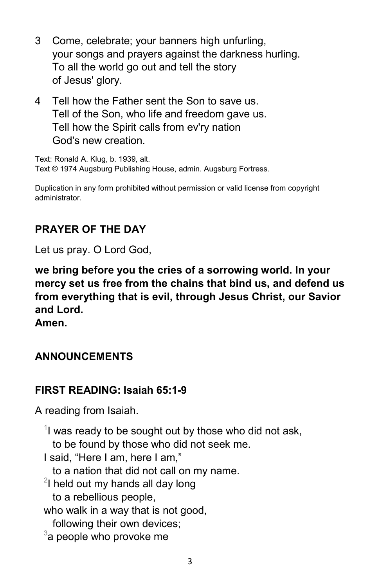- 3 Come, celebrate; your banners high unfurling, your songs and prayers against the darkness hurling. To all the world go out and tell the story of Jesus' glory.
- 4 Tell how the Father sent the Son to save us. Tell of the Son, who life and freedom gave us. Tell how the Spirit calls from ev'ry nation God's new creation.

Text: Ronald A. Klug, b. 1939, alt. Text © 1974 Augsburg Publishing House, admin. Augsburg Fortress.

Duplication in any form prohibited without permission or valid license from copyright administrator.

# **PRAYER OF THE DAY**

Let us pray. O Lord God,

**we bring before you the cries of a sorrowing world. In your mercy set us free from the chains that bind us, and defend us from everything that is evil, through Jesus Christ, our Savior and Lord.**

**Amen.**

## **ANNOUNCEMENTS**

## **FIRST READING: Isaiah 65:1-9**

A reading from Isaiah.

 $1$  was ready to be sought out by those who did not ask,

to be found by those who did not seek me.

I said, "Here I am, here I am,"

to a nation that did not call on my name.

 $^2$ I held out my hands all day long

to a rebellious people,

who walk in a way that is not good,

following their own devices;

 $^3$ a people who provoke me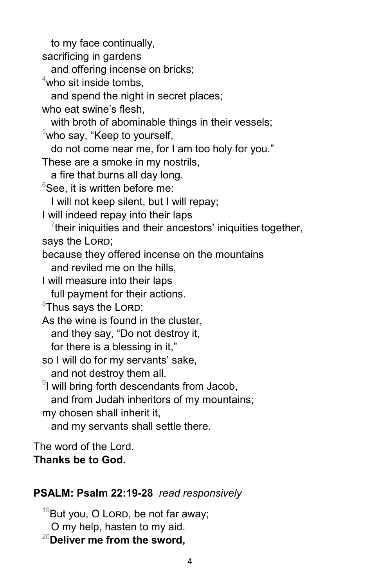to my face continually, sacrificing in gardens and offering incense on bricks;  $4$ who sit inside tombs, and spend the night in secret places; who eat swine's flesh, with broth of abominable things in their vessels;  $5$ who say, "Keep to yourself, do not come near me, for I am too holy for you." These are a smoke in my nostrils, a fire that burns all day long.  $6$ See, it is written before me: I will not keep silent, but I will repay; I will indeed repay into their laps  $\frac{7}{7}$ their iniquities and their ancestors' iniquities together, says the LORD; because they offered incense on the mountains and reviled me on the hills, I will measure into their laps full payment for their actions.  $8$ Thus says the Lorp: As the wine is found in the cluster, and they say, "Do not destroy it, for there is a blessing in it," so I will do for my servants' sake, and not destroy them all.  $^9$ I will bring forth descendants from Jacob, and from Judah inheritors of my mountains; my chosen shall inherit it, and my servants shall settle there.

The word of the Lord. **Thanks be to God.**

## **PSALM: Psalm 22:19-28** *read responsively*

 $19$ But you, O Lorp, be not far away; O my help, hasten to my aid. <sup>20</sup>**Deliver me from the sword,**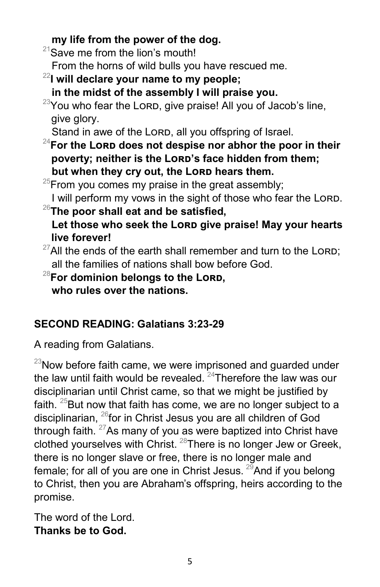# **my life from the power of the dog.**

 $21$ Save me from the lion's mouth!

From the horns of wild bulls you have rescued me.

- <sup>22</sup>**I will declare your name to my people;**
	- **in the midst of the assembly I will praise you.**
- $^{23}$ You who fear the Lord, give praise! All you of Jacob's line, give glory.

Stand in awe of the Lorp, all you offspring of Israel.

<sup>24</sup>For the Lorp does not despise nor abhor the poor in their poverty; neither is the Lorp's face hidden from them; but when they cry out, the Lorp hears them.

 $^{25}$ From you comes my praise in the great assembly;

I will perform my vows in the sight of those who fear the LORD.

<sup>26</sup>**The poor shall eat and be satisfied,** Let those who seek the Lorp give praise! May your hearts **live forever!**

- $^{27}$ All the ends of the earth shall remember and turn to the LORD; all the families of nations shall bow before God.
- <sup>28</sup>**For dominion belongs to the Lord, who rules over the nations.**

# **SECOND READING: Galatians 3:23-29**

A reading from Galatians.

 $^{23}$ Now before faith came, we were imprisoned and guarded under the law until faith would be revealed.  $24$ Therefore the law was our disciplinarian until Christ came, so that we might be justified by faith.  $25$ But now that faith has come, we are no longer subject to a disciplinarian, <sup>26</sup>for in Christ Jesus you are all children of God through faith.  $27$  As many of you as were baptized into Christ have clothed yourselves with Christ. <sup>28</sup>There is no longer Jew or Greek, there is no longer slave or free, there is no longer male and female; for all of you are one in Christ Jesus.  $^{29}$ And if you belong to Christ, then you are Abraham's offspring, heirs according to the promise.

The word of the Lord. **Thanks be to God.**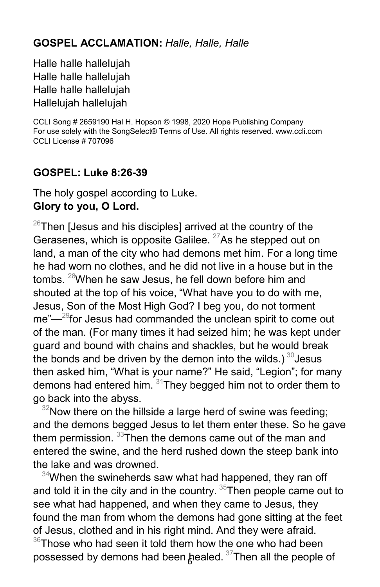#### **GOSPEL ACCLAMATION:** *Halle, Halle, Halle*

Halle halle hallelujah Halle halle hallelujah Halle halle hallelujah Hallelujah hallelujah

CCLI Song # 2659190 Hal H. Hopson © 1998, 2020 Hope Publishing Company For use solely with the SongSelect® Terms of Use. All rights reserved. www.ccli.com CCLI License # 707096

#### **GOSPEL: Luke 8:26-39**

The holy gospel according to Luke. **Glory to you, O Lord.**

 $26$ Then [Jesus and his disciples] arrived at the country of the Gerasenes, which is opposite Galilee.  $27$ As he stepped out on land, a man of the city who had demons met him. For a long time he had worn no clothes, and he did not live in a house but in the tombs. <sup>28</sup>When he saw Jesus, he fell down before him and shouted at the top of his voice, "What have you to do with me, Jesus, Son of the Most High God? I beg you, do not torment me"<sup>-29</sup>for Jesus had commanded the unclean spirit to come out of the man. (For many times it had seized him; he was kept under guard and bound with chains and shackles, but he would break the bonds and be driven by the demon into the wilds.)  $30$  Jesus then asked him, "What is your name?" He said, "Legion"; for many demons had entered him.  $31$ They begged him not to order them to go back into the abyss.

 $32$ Now there on the hillside a large herd of swine was feeding; and the demons begged Jesus to let them enter these. So he gave them permission. <sup>33</sup>Then the demons came out of the man and entered the swine, and the herd rushed down the steep bank into the lake and was drowned.

 $34$ When the swineherds saw what had happened, they ran off and told it in the city and in the country. <sup>35</sup>Then people came out to see what had happened, and when they came to Jesus, they found the man from whom the demons had gone sitting at the feet of Jesus, clothed and in his right mind. And they were afraid.

possessed by demons had been <sub>c</sub>healed.  $^{37}$ Then all the people of  $36$ Those who had seen it told them how the one who had been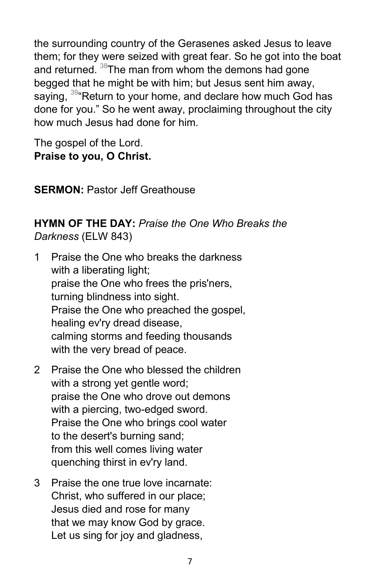the surrounding country of the Gerasenes asked Jesus to leave them; for they were seized with great fear. So he got into the boat and returned. <sup>38</sup>The man from whom the demons had gone begged that he might be with him; but Jesus sent him away, saying,  $^{39}$ "Return to your home, and declare how much God has done for you." So he went away, proclaiming throughout the city how much Jesus had done for him.

The gospel of the Lord. **Praise to you, O Christ.**

**SERMON: Pastor Jeff Greathouse** 

#### **HYMN OF THE DAY:** *Praise the One Who Breaks the Darkness* (ELW 843)

- 1 Praise the One who breaks the darkness with a liberating light; praise the One who frees the pris'ners, turning blindness into sight. Praise the One who preached the gospel, healing ev'ry dread disease, calming storms and feeding thousands with the very bread of peace.
- 2 Praise the One who blessed the children with a strong yet gentle word; praise the One who drove out demons with a piercing, two-edged sword. Praise the One who brings cool water to the desert's burning sand; from this well comes living water quenching thirst in ev'ry land.
- 3 Praise the one true love incarnate: Christ, who suffered in our place; Jesus died and rose for many that we may know God by grace. Let us sing for joy and gladness,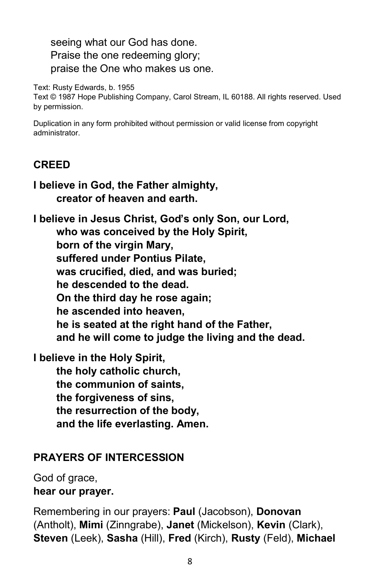seeing what our God has done. Praise the one redeeming glory; praise the One who makes us one.

Text: Rusty Edwards, b. 1955

Text © 1987 Hope Publishing Company, Carol Stream, IL 60188. All rights reserved. Used by permission.

Duplication in any form prohibited without permission or valid license from copyright administrator.

#### **CREED**

**I believe in God, the Father almighty, creator of heaven and earth.**

**I believe in Jesus Christ, God's only Son, our Lord, who was conceived by the Holy Spirit, born of the virgin Mary, suffered under Pontius Pilate, was crucified, died, and was buried; he descended to the dead. On the third day he rose again; he ascended into heaven, he is seated at the right hand of the Father, and he will come to judge the living and the dead.**

**I believe in the Holy Spirit, the holy catholic church, the communion of saints, the forgiveness of sins, the resurrection of the body, and the life everlasting. Amen.**

#### **PRAYERS OF INTERCESSION**

God of grace, **hear our prayer.**

Remembering in our prayers: **Paul** (Jacobson), **Donovan**  (Antholt), **Mimi** (Zinngrabe), **Janet** (Mickelson), **Kevin** (Clark), **Steven** (Leek), **Sasha** (Hill), **Fred** (Kirch), **Rusty** (Feld), **Michael**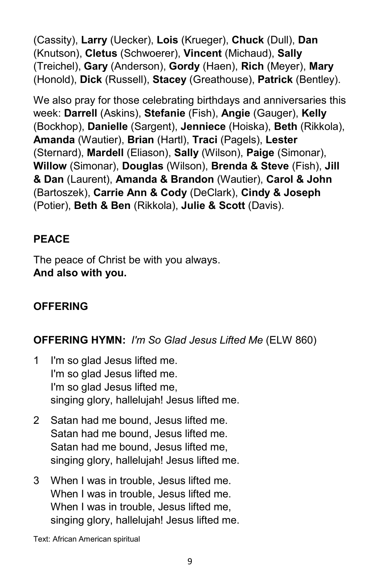(Cassity), **Larry** (Uecker), **Lois** (Krueger), **Chuck** (Dull), **Dan** (Knutson), **Cletus** (Schwoerer), **Vincent** (Michaud), **Sally**  (Treichel), **Gary** (Anderson), **Gordy** (Haen), **Rich** (Meyer), **Mary**  (Honold), **Dick** (Russell), **Stacey** (Greathouse), **Patrick** (Bentley).

We also pray for those celebrating birthdays and anniversaries this week: **Darrell** (Askins), **Stefanie** (Fish), **Angie** (Gauger), **Kelly**  (Bockhop), **Danielle** (Sargent), **Jenniece** (Hoiska), **Beth** (Rikkola), **Amanda** (Wautier), **Brian** (Hartl), **Traci** (Pagels), **Lester**  (Sternard), **Mardell** (Eliason), **Sally** (Wilson), **Paige** (Simonar), **Willow** (Simonar), **Douglas** (Wilson), **Brenda & Steve** (Fish), **Jill & Dan** (Laurent), **Amanda & Brandon** (Wautier), **Carol & John**  (Bartoszek), **Carrie Ann & Cody** (DeClark), **Cindy & Joseph**  (Potier), **Beth & Ben** (Rikkola), **Julie & Scott** (Davis).

## **PEACE**

The peace of Christ be with you always. **And also with you.**

# **OFFERING**

**OFFERING HYMN:** *I'm So Glad Jesus Lifted Me* (ELW 860)

- 1 I'm so glad Jesus lifted me. I'm so glad Jesus lifted me. I'm so glad Jesus lifted me, singing glory, hallelujah! Jesus lifted me.
- 2 Satan had me bound, Jesus lifted me. Satan had me bound, Jesus lifted me. Satan had me bound, Jesus lifted me, singing glory, hallelujah! Jesus lifted me.
- 3 When I was in trouble, Jesus lifted me. When I was in trouble, Jesus lifted me. When I was in trouble, Jesus lifted me, singing glory, hallelujah! Jesus lifted me.

Text: African American spiritual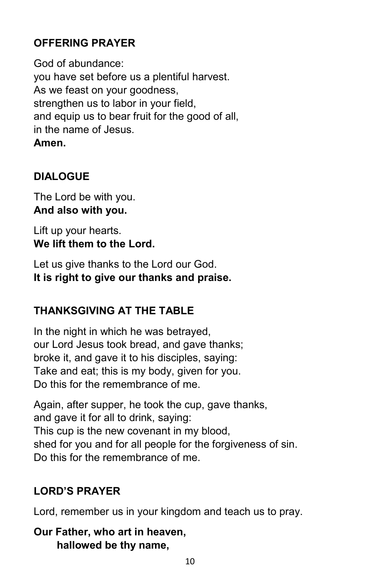# **OFFERING PRAYER**

God of abundance: you have set before us a plentiful harvest. As we feast on your goodness, strengthen us to labor in your field, and equip us to bear fruit for the good of all, in the name of Jesus. **Amen.**

# **DIALOGUE**

The Lord be with you. **And also with you.**

Lift up your hearts. **We lift them to the Lord.**

Let us give thanks to the Lord our God. **It is right to give our thanks and praise.**

## **THANKSGIVING AT THE TABLE**

In the night in which he was betrayed, our Lord Jesus took bread, and gave thanks; broke it, and gave it to his disciples, saying: Take and eat; this is my body, given for you. Do this for the remembrance of me.

Again, after supper, he took the cup, gave thanks, and gave it for all to drink, saying: This cup is the new covenant in my blood, shed for you and for all people for the forgiveness of sin. Do this for the remembrance of me.

# **LORD'S PRAYER**

Lord, remember us in your kingdom and teach us to pray.

**Our Father, who art in heaven, hallowed be thy name,**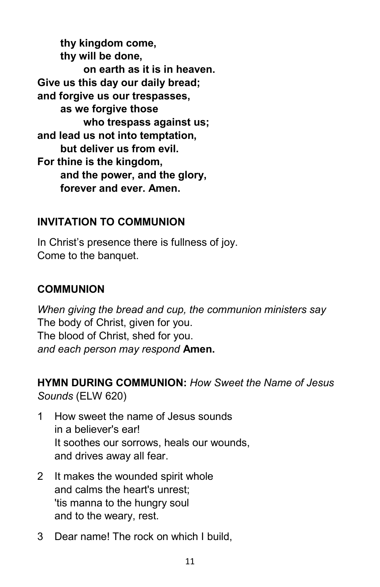**thy kingdom come, thy will be done, on earth as it is in heaven. Give us this day our daily bread; and forgive us our trespasses, as we forgive those who trespass against us; and lead us not into temptation, but deliver us from evil. For thine is the kingdom, and the power, and the glory, forever and ever. Amen.**

#### **INVITATION TO COMMUNION**

In Christ's presence there is fullness of joy. Come to the banquet.

#### **COMMUNION**

*When giving the bread and cup, the communion ministers say* The body of Christ, given for you. The blood of Christ, shed for you. *and each person may respond* **Amen.**

**HYMN DURING COMMUNION:** *How Sweet the Name of Jesus Sounds* (ELW 620)

- 1 How sweet the name of Jesus sounds in a believer's ear! It soothes our sorrows, heals our wounds, and drives away all fear.
- 2 It makes the wounded spirit whole and calms the heart's unrest; 'tis manna to the hungry soul and to the weary, rest.
- 3 Dear name! The rock on which I build,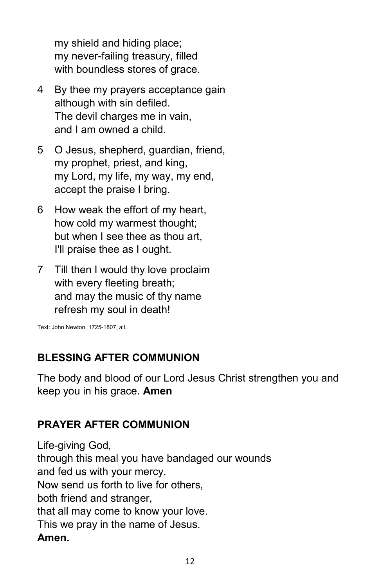my shield and hiding place; my never-failing treasury, filled with boundless stores of grace.

- 4 By thee my prayers acceptance gain although with sin defiled. The devil charges me in vain, and I am owned a child.
- 5 O Jesus, shepherd, guardian, friend, my prophet, priest, and king, my Lord, my life, my way, my end, accept the praise I bring.
- 6 How weak the effort of my heart, how cold my warmest thought; but when I see thee as thou art, I'll praise thee as I ought.
- 7 Till then I would thy love proclaim with every fleeting breath; and may the music of thy name refresh my soul in death!

Text: John Newton, 1725-1807, alt.

# **BLESSING AFTER COMMUNION**

The body and blood of our Lord Jesus Christ strengthen you and keep you in his grace. **Amen** 

## **PRAYER AFTER COMMUNION**

Life-giving God, through this meal you have bandaged our wounds and fed us with your mercy. Now send us forth to live for others, both friend and stranger, that all may come to know your love. This we pray in the name of Jesus. **Amen.**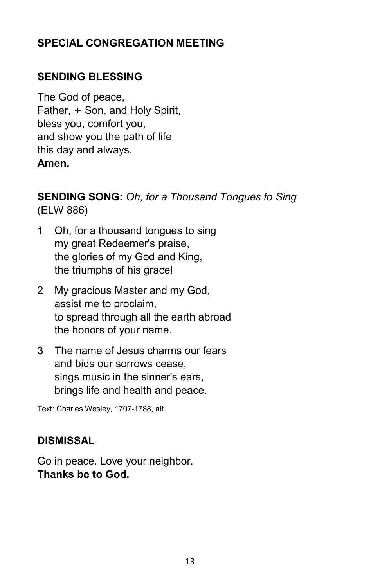## **SPECIAL CONGREGATION MEETING**

# **SENDING BLESSING**

The God of peace, Father, + Son, and Holy Spirit, bless you, comfort you, and show you the path of life this day and always. **Amen.**

#### **SENDING SONG:** *Oh, for a Thousand Tongues to Sing* (ELW 886)

- 1 Oh, for a thousand tongues to sing my great Redeemer's praise, the glories of my God and King, the triumphs of his grace!
- 2 My gracious Master and my God, assist me to proclaim, to spread through all the earth abroad the honors of your name.
- 3 The name of Jesus charms our fears and bids our sorrows cease, sings music in the sinner's ears, brings life and health and peace.

Text: Charles Wesley, 1707-1788, alt.

#### **DISMISSAL**

Go in peace. Love your neighbor. **Thanks be to God.**